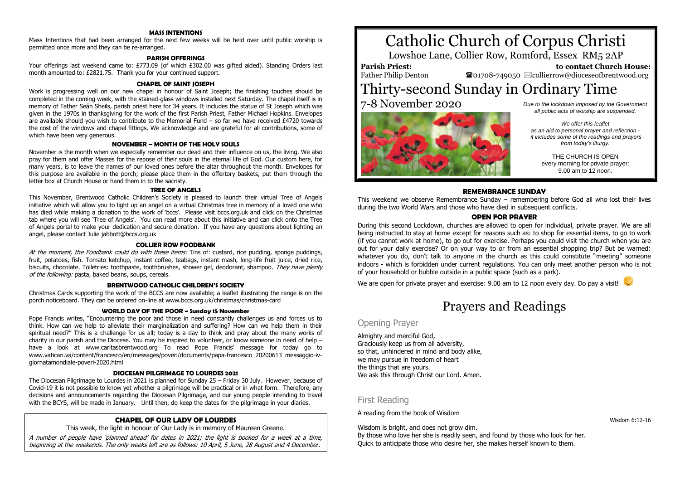# **MASS INTENTIONS**

Mass Intentions that had been arranged for the next few weeks will be held over until public worship is permitted once more and they can be re-arranged.

#### **PARISH OFFERINGS**

Your offerings last weekend came to: £773.09 (of which £302.00 was gifted aided). Standing Orders last month amounted to: £2821.75. Thank you for your continued support.

#### **CHAPEL OF SAINT JOSEPH**

Work is progressing well on our new chapel in honour of Saint Joseph; the finishing touches should be completed in the coming week, with the stained-glass windows installed next Saturday. The chapel itself is in memory of Father Seán Sheils, parish priest here for 34 years. It includes the statue of St Joseph which was given in the 1970s in thanksgiving for the work of the first Parish Priest, Father Michael Hopkins. Envelopes are available should you wish to contribute to the Memorial Fund – so far we have received £4720 towards the cost of the windows and chapel fittings. We acknowledge and are grateful for all contributions, some of which have been very generous.

#### **NOVEMBER – MONTH OF THE HOLY SOULS**

November is the month when we especially remember our dead and their influence on us, the living. We also pray for them and offer Masses for the repose of their souls in the eternal life of God. Our custom here, for many years, is to leave the names of our loved ones before the altar throughout the month. Envelopes for this purpose are available in the porch; please place them in the offertory baskets, put them through the letter box at Church House or hand them in to the sacristy.

#### **TREE OF ANGELS**

This November, Brentwood Catholic Children's Society is pleased to launch their virtual Tree of Angels initiative which will allow you to light up an angel on a virtual Christmas tree in memory of a loved one who has died while making a donation to the work of 'bccs'. Please visit bccs.org.uk and click on the Christmas tab where you will see 'Tree of Angels'. You can read more about this initiative and can click onto the Tree of Angels portal to make your dedication and secure donation. If you have any questions about lighting an angel, please contact Julie jabbott@bccs.org.uk

### **COLLIER ROW FOODBANK**

At the moment, the Foodbank could do with these items: Tins of: custard, rice pudding, sponge puddings, fruit, potatoes, fish. Tomato ketchup, instant coffee, teabags, instant mash, long-life fruit juice, dried rice, biscuits, chocolate. Toiletries: toothpaste, toothbrushes, shower gel, deodorant, shampoo. They have plenty of the following: pasta, baked beans, soups, cereals.

#### **BRENTWOOD CATHOLIC CHILDREN'S SOCIETY**

Christmas Cards supporting the work of the BCCS are now available; a leaflet illustrating the range is on the porch noticeboard. They can be ordered on-line at www.bccs.org.uk/christmas/christmas-card

#### **WORLD DAY OF THE POOR ~ Sunday 15 November**

Pope Francis writes, "Encountering the poor and those in need constantly challenges us and forces us to think. How can we help to alleviate their marginalization and suffering? How can we help them in their spiritual need?" This is a challenge for us all; today is a day to think and pray about the many works of charity in our parish and the Diocese. You may be inspired to volunteer, or know someone in need of help  $$ have a look at www.caritasbrentwood.org To read Pope Francis' message for today go to www.vatican.va/content/francesco/en/messages/poveri/documents/papa-francesco\_20200613\_messaggio-ivgiornatamondiale-poveri-2020.html

#### **DIOCESAN PILGRIMAGE TO LOURDES 2021**

The Diocesan Pilgrimage to Lourdes in 2021 is planned for Sunday 25 – Friday 30 July. However, because of Covid-19 it is not possible to know yet whether a pilgrimage will be practical or in what form. Therefore, any decisions and announcements regarding the Diocesan Pilgrimage, and our young people intending to travel with the BCYS, will be made in January. Until then, do keep the dates for the pilgrimage in your diaries.

# **CHAPEL OF OUR LADY OF LOURDES**

This week, the light in honour of Our Lady is in memory of Maureen Greene.

A number of people have 'planned ahead' for dates in 2021; the light is booked for a week at a time, beginning at the weekends. The only weeks left are as follows: 10 April, 5 June, 28 August and 4 December.

# Catholic Church of Corpus Christi

Lowshoe Lane, Collier Row, Romford, Essex RM5 2AP

# **Parish Priest:**

Father Philip Denton

 **to contact Church House:**  $\bullet$ 01708-749050  $\boxtimes$ collierrow@dioceseofbrentwood.org

# Thirty-second Sunday in Ordinary Time 7-8 November 2020 *Due to the lockdown imposed by the Government*



*all public acts of worship are suspended.*

*We offer this leaflet as an aid to personal prayer and reflection it includes some of the readings and prayers from today's liturgy.*

> THE CHURCH IS OPEN every morning for private prayer: 9.00 am to 12 noon.

# **REMEMBRANCE SUNDAY**

This weekend we observe Remembrance Sunday – remembering before God all who lost their lives during the two World Wars and those who have died in subsequent conflicts.

### **OPEN FOR PRAYER**

During this second Lockdown, churches are allowed to open for individual, private prayer. We are all being instructed to stay at home except for reasons such as: to shop for essential items, to go to work (if you cannot work at home), to go out for exercise. Perhaps you could visit the church when you are out for your daily exercise? Or on your way to or from an essential shopping trip? But be warned: whatever you do, don't talk to anyone in the church as this could constitute "meeting" someone indoors - which is forbidden under current regulations. You can only meet another person who is not of your household or bubble outside in a public space (such as a park).

We are open for private prayer and exercise: 9.00 am to 12 noon every day. Do pay a visit!



# Prayers and Readings

# Opening Prayer

Almighty and merciful God, Graciously keep us from all adversity, so that, unhindered in mind and body alike, we may pursue in freedom of heart the things that are yours. We ask this through Christ our Lord. Amen.

# First Reading

A reading from the book of Wisdom

Wisdom is bright, and does not grow dim.

By those who love her she is readily seen, and found by those who look for her. Quick to anticipate those who desire her, she makes herself known to them.

Wisdom 6:12-16